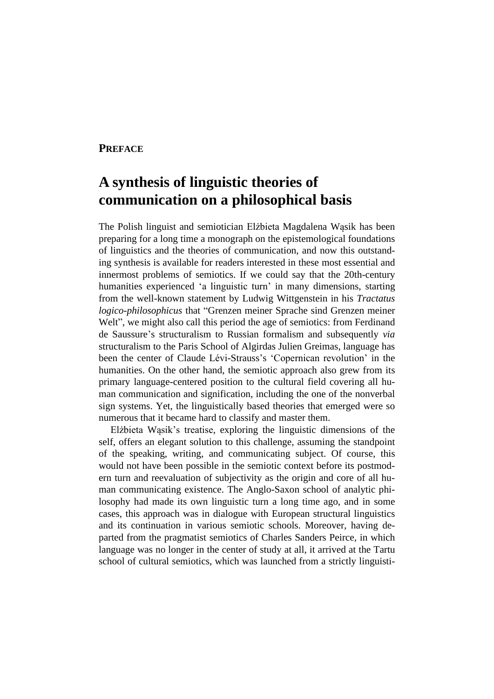## **PREFACE**

## **A synthesis of linguistic theories of communication on a philosophical basis**

The Polish linguist and semiotician Elżbieta Magdalena Wąsik has been preparing for a long time a monograph on the epistemological foundations of linguistics and the theories of communication, and now this outstanding synthesis is available for readers interested in these most essential and innermost problems of semiotics. If we could say that the 20th-century humanities experienced 'a linguistic turn' in many dimensions, starting from the well-known statement by Ludwig Wittgenstein in his *Tractatus logico-philosophicus* that "Grenzen meiner Sprache sind Grenzen meiner Welt", we might also call this period the age of semiotics: from Ferdinand de Saussure's structuralism to Russian formalism and subsequently *via* structuralism to the Paris School of Algirdas Julien Greimas, language has been the center of Claude Lévi-Strauss's 'Copernican revolution' in the humanities. On the other hand, the semiotic approach also grew from its primary language-centered position to the cultural field covering all human communication and signification, including the one of the nonverbal sign systems. Yet, the linguistically based theories that emerged were so numerous that it became hard to classify and master them.

Elżbieta Wąsik's treatise, exploring the linguistic dimensions of the self, offers an elegant solution to this challenge, assuming the standpoint of the speaking, writing, and communicating subject. Of course, this would not have been possible in the semiotic context before its postmodern turn and reevaluation of subjectivity as the origin and core of all human communicating existence. The Anglo-Saxon school of analytic philosophy had made its own linguistic turn a long time ago, and in some cases, this approach was in dialogue with European structural linguistics and its continuation in various semiotic schools. Moreover, having departed from the pragmatist semiotics of Charles Sanders Peirce, in which language was no longer in the center of study at all, it arrived at the Tartu school of cultural semiotics, which was launched from a strictly linguisti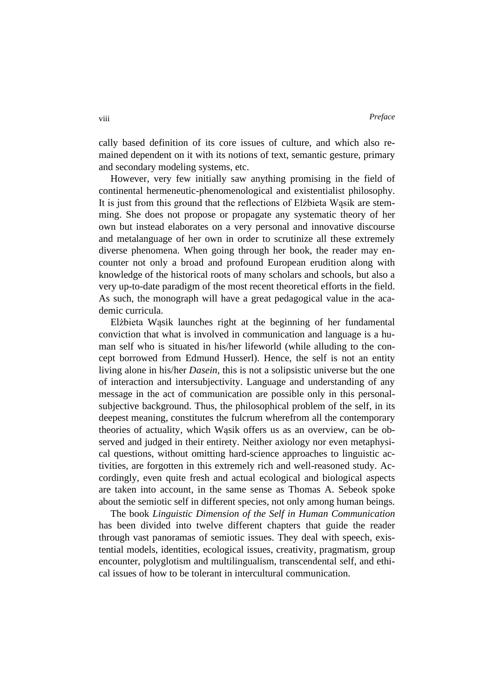cally based definition of its core issues of culture, and which also remained dependent on it with its notions of text, semantic gesture, primary and secondary modeling systems, etc.

However, very few initially saw anything promising in the field of continental hermeneutic-phenomenological and existentialist philosophy. It is just from this ground that the reflections of Elżbieta Wąsik are stemming. She does not propose or propagate any systematic theory of her own but instead elaborates on a very personal and innovative discourse and metalanguage of her own in order to scrutinize all these extremely diverse phenomena. When going through her book, the reader may encounter not only a broad and profound European erudition along with knowledge of the historical roots of many scholars and schools, but also a very up-to-date paradigm of the most recent theoretical efforts in the field. As such, the monograph will have a great pedagogical value in the academic curricula.

Elżbieta Wąsik launches right at the beginning of her fundamental conviction that what is involved in communication and language is a human self who is situated in his/her lifeworld (while alluding to the concept borrowed from Edmund Husserl). Hence, the self is not an entity living alone in his/her *Dasein*, this is not a solipsistic universe but the one of interaction and intersubjectivity. Language and understanding of any message in the act of communication are possible only in this personalsubjective background. Thus, the philosophical problem of the self, in its deepest meaning, constitutes the fulcrum wherefrom all the contemporary theories of actuality, which Wąsik offers us as an overview, can be observed and judged in their entirety. Neither axiology nor even metaphysical questions, without omitting hard-science approaches to linguistic activities, are forgotten in this extremely rich and well-reasoned study. Accordingly, even quite fresh and actual ecological and biological aspects are taken into account, in the same sense as Thomas A. Sebeok spoke about the semiotic self in different species, not only among human beings.

The book *Linguistic Dimension of the Self in Human Communication* has been divided into twelve different chapters that guide the reader through vast panoramas of semiotic issues. They deal with speech, existential models, identities, ecological issues, creativity, pragmatism, group encounter, polyglotism and multilingualism, transcendental self, and ethical issues of how to be tolerant in intercultural communication.